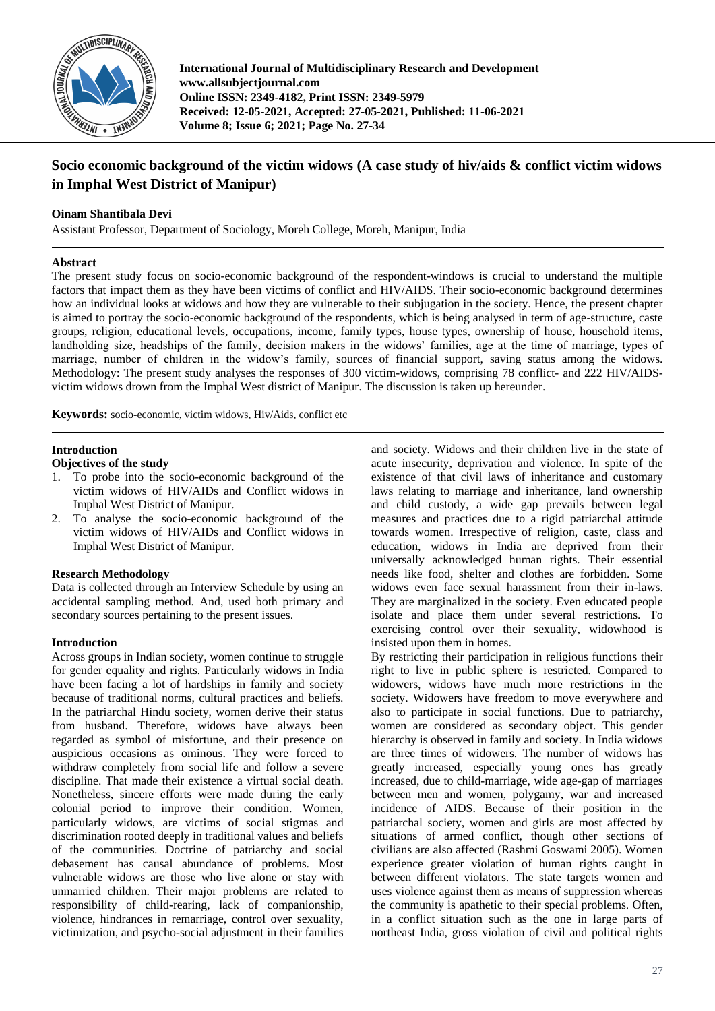

**International Journal of Multidisciplinary Research and Development www.allsubjectjournal.com Online ISSN: 2349-4182, Print ISSN: 2349-5979 Received: 12-05-2021, Accepted: 27-05-2021, Published: 11-06-2021 Volume 8; Issue 6; 2021; Page No. 27-34**

# **Socio economic background of the victim widows (A case study of hiv/aids & conflict victim widows in Imphal West District of Manipur)**

# **Oinam Shantibala Devi**

Assistant Professor, Department of Sociology, Moreh College, Moreh, Manipur, India

## **Abstract**

The present study focus on socio-economic background of the respondent-windows is crucial to understand the multiple factors that impact them as they have been victims of conflict and HIV/AIDS. Their socio-economic background determines how an individual looks at widows and how they are vulnerable to their subjugation in the society. Hence, the present chapter is aimed to portray the socio-economic background of the respondents, which is being analysed in term of age-structure, caste groups, religion, educational levels, occupations, income, family types, house types, ownership of house, household items, landholding size, headships of the family, decision makers in the widows' families, age at the time of marriage, types of marriage, number of children in the widow's family, sources of financial support, saving status among the widows. Methodology: The present study analyses the responses of 300 victim-widows, comprising 78 conflict- and 222 HIV/AIDSvictim widows drown from the Imphal West district of Manipur. The discussion is taken up hereunder.

**Keywords:** socio-economic, victim widows, Hiv/Aids, conflict etc

## **Introduction**

#### **Objectives of the study**

- 1. To probe into the socio-economic background of the victim widows of HIV/AIDs and Conflict widows in Imphal West District of Manipur.
- 2. To analyse the socio-economic background of the victim widows of HIV/AIDs and Conflict widows in Imphal West District of Manipur.

## **Research Methodology**

Data is collected through an Interview Schedule by using an accidental sampling method. And, used both primary and secondary sources pertaining to the present issues.

## **Introduction**

Across groups in Indian society, women continue to struggle for gender equality and rights. Particularly widows in India have been facing a lot of hardships in family and society because of traditional norms, cultural practices and beliefs. In the patriarchal Hindu society, women derive their status from husband. Therefore, widows have always been regarded as symbol of misfortune, and their presence on auspicious occasions as ominous. They were forced to withdraw completely from social life and follow a severe discipline. That made their existence a virtual social death. Nonetheless, sincere efforts were made during the early colonial period to improve their condition. Women, particularly widows, are victims of social stigmas and discrimination rooted deeply in traditional values and beliefs of the communities. Doctrine of patriarchy and social debasement has causal abundance of problems. Most vulnerable widows are those who live alone or stay with unmarried children. Their major problems are related to responsibility of child-rearing, lack of companionship, violence, hindrances in remarriage, control over sexuality, victimization, and psycho-social adjustment in their families

and society. Widows and their children live in the state of acute insecurity, deprivation and violence. In spite of the existence of that civil laws of inheritance and customary laws relating to marriage and inheritance, land ownership and child custody, a wide gap prevails between legal measures and practices due to a rigid patriarchal attitude towards women. Irrespective of religion, caste, class and education, widows in India are deprived from their universally acknowledged human rights. Their essential needs like food, shelter and clothes are forbidden. Some widows even face sexual harassment from their in-laws. They are marginalized in the society. Even educated people isolate and place them under several restrictions. To exercising control over their sexuality, widowhood is insisted upon them in homes.

By restricting their participation in religious functions their right to live in public sphere is restricted. Compared to widowers, widows have much more restrictions in the society. Widowers have freedom to move everywhere and also to participate in social functions. Due to patriarchy, women are considered as secondary object. This gender hierarchy is observed in family and society. In India widows are three times of widowers. The number of widows has greatly increased, especially young ones has greatly increased, due to child-marriage, wide age-gap of marriages between men and women, polygamy, war and increased incidence of AIDS. Because of their position in the patriarchal society, women and girls are most affected by situations of armed conflict, though other sections of civilians are also affected (Rashmi Goswami 2005). Women experience greater violation of human rights caught in between different violators. The state targets women and uses violence against them as means of suppression whereas the community is apathetic to their special problems. Often, in a conflict situation such as the one in large parts of northeast India, gross violation of civil and political rights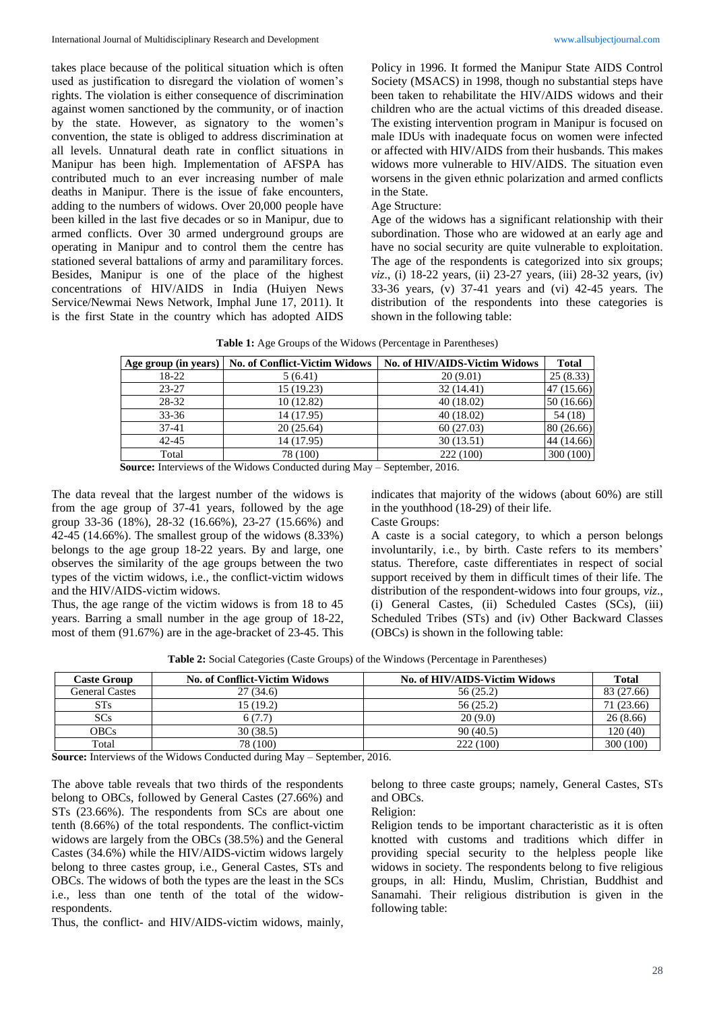takes place because of the political situation which is often used as justification to disregard the violation of women's rights. The violation is either consequence of discrimination against women sanctioned by the community, or of inaction by the state. However, as signatory to the women's convention, the state is obliged to address discrimination at all levels. Unnatural death rate in conflict situations in Manipur has been high. Implementation of AFSPA has contributed much to an ever increasing number of male deaths in Manipur. There is the issue of fake encounters, adding to the numbers of widows. Over 20,000 people have been killed in the last five decades or so in Manipur, due to armed conflicts. Over 30 armed underground groups are operating in Manipur and to control them the centre has stationed several battalions of army and paramilitary forces. Besides, Manipur is one of the place of the highest concentrations of HIV/AIDS in India (Huiyen News Service/Newmai News Network, Imphal June 17, 2011). It is the first State in the country which has adopted AIDS

Policy in 1996. It formed the Manipur State AIDS Control Society (MSACS) in 1998, though no substantial steps have been taken to rehabilitate the HIV/AIDS widows and their children who are the actual victims of this dreaded disease. The existing intervention program in Manipur is focused on male IDUs with inadequate focus on women were infected or affected with HIV/AIDS from their husbands. This makes widows more vulnerable to HIV/AIDS. The situation even worsens in the given ethnic polarization and armed conflicts in the State.

Age Structure:

Age of the widows has a significant relationship with their subordination. Those who are widowed at an early age and have no social security are quite vulnerable to exploitation. The age of the respondents is categorized into six groups; *viz*., (i) 18-22 years, (ii) 23-27 years, (iii) 28-32 years, (iv) 33-36 years, (v) 37-41 years and (vi) 42-45 years. The distribution of the respondents into these categories is shown in the following table:

| Age group (in years) | <b>No. of Conflict-Victim Widows</b> | <b>No. of HIV/AIDS-Victim Widows</b> | Total      |
|----------------------|--------------------------------------|--------------------------------------|------------|
| 18-22                | 5(6.41)                              | 20(9.01)                             | 25(8.33)   |
| $23 - 27$            | 15 (19.23)                           | 32 (14.41)                           | 47(15.66)  |
| 28-32                | 10(12.82)                            | 40(18.02)                            | 50(16.66)  |
| $33 - 36$            | 14 (17.95)                           | 40(18.02)                            | 54 (18)    |
| $37-41$              | 20(25.64)                            | 60(27.03)                            | 80 (26.66) |
| $42 - 45$            | 14 (17.95)                           | 30(13.51)                            | 44 (14.66) |
| Total                | 78 (100)                             | 222 (100)                            | 300(100)   |
|                      | .                                    |                                      |            |

**Table 1:** Age Groups of the Widows (Percentage in Parentheses)

**Source:** Interviews of the Widows Conducted during May – September, 2016.

The data reveal that the largest number of the widows is from the age group of 37-41 years, followed by the age group 33-36 (18%), 28-32 (16.66%), 23-27 (15.66%) and 42-45 (14.66%). The smallest group of the widows (8.33%) belongs to the age group 18-22 years. By and large, one observes the similarity of the age groups between the two types of the victim widows, i.e., the conflict-victim widows and the HIV/AIDS-victim widows.

Thus, the age range of the victim widows is from 18 to 45 years. Barring a small number in the age group of 18-22, most of them (91.67%) are in the age-bracket of 23-45. This indicates that majority of the widows (about 60%) are still in the youthhood (18-29) of their life.

Caste Groups:

A caste is a social category, to which a person belongs involuntarily, i.e., by birth. Caste refers to its members' status. Therefore, caste differentiates in respect of social support received by them in difficult times of their life. The distribution of the respondent-widows into four groups, *viz*., (i) General Castes, (ii) Scheduled Castes (SCs), (iii) Scheduled Tribes (STs) and (iv) Other Backward Classes (OBCs) is shown in the following table:

**Table 2:** Social Categories (Caste Groups) of the Windows (Percentage in Parentheses)

| <b>Caste Group</b>    | <b>No. of Conflict-Victim Widows</b> | <b>No. of HIV/AIDS-Victim Widows</b> | <b>Total</b> |
|-----------------------|--------------------------------------|--------------------------------------|--------------|
| <b>General Castes</b> | 27(34.6)                             | 56(25.2)                             | 83 (27.66)   |
| STs                   | 15 (19.2)                            | 56(25.2)                             | 71 (23.66)   |
| <b>SCs</b>            | 6(7.7)                               | 20(9.0)                              | 26(8.66)     |
| <b>OBCs</b>           | 30(38.5)                             | 90(40.5)                             | 120 (40)     |
| Total                 | 78 (100)                             | 222 (100)                            | 300 (100)    |

**Source:** Interviews of the Widows Conducted during May – September, 2016.

The above table reveals that two thirds of the respondents belong to OBCs, followed by General Castes (27.66%) and STs (23.66%). The respondents from SCs are about one tenth (8.66%) of the total respondents. The conflict-victim widows are largely from the OBCs (38.5%) and the General Castes (34.6%) while the HIV/AIDS-victim widows largely belong to three castes group, i.e., General Castes, STs and OBCs. The widows of both the types are the least in the SCs i.e., less than one tenth of the total of the widowrespondents.

Thus, the conflict- and HIV/AIDS-victim widows, mainly,

belong to three caste groups; namely, General Castes, STs and OBCs.

Religion:

Religion tends to be important characteristic as it is often knotted with customs and traditions which differ in providing special security to the helpless people like widows in society. The respondents belong to five religious groups, in all: Hindu, Muslim, Christian, Buddhist and Sanamahi. Their religious distribution is given in the following table: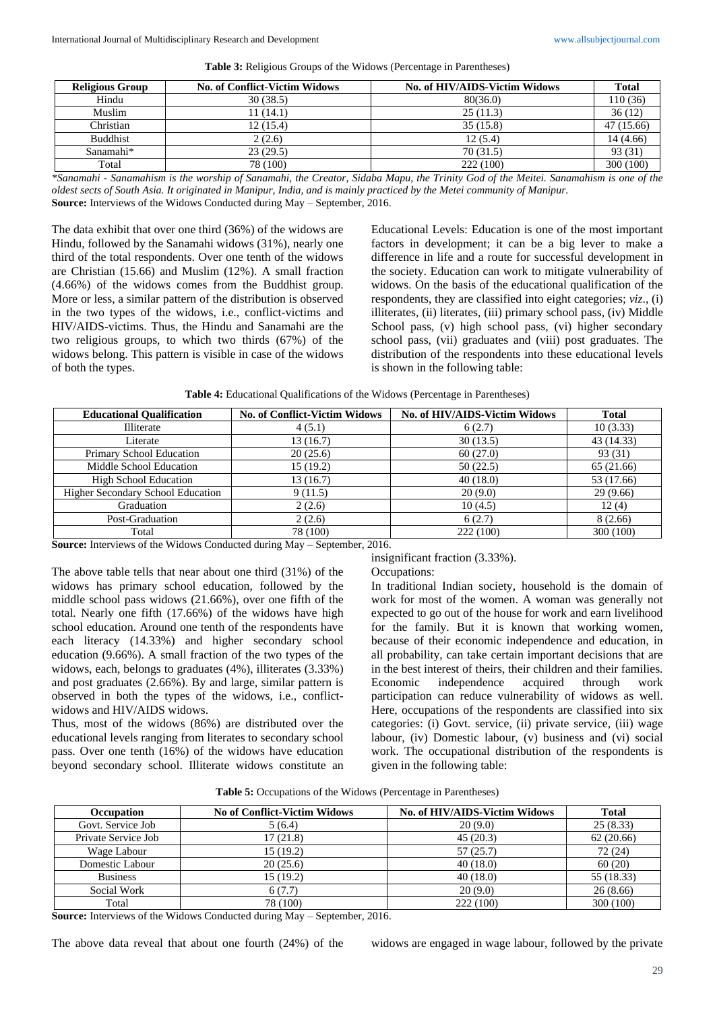| Table 3: Religious Groups of the Widows (Percentage in Parentheses) |  |  |
|---------------------------------------------------------------------|--|--|
|                                                                     |  |  |

| <b>Religious Group</b> | <b>No. of Conflict-Victim Widows</b> | <b>No. of HIV/AIDS-Victim Widows</b> | <b>Total</b> |
|------------------------|--------------------------------------|--------------------------------------|--------------|
| Hindu                  | 30(38.5)                             | 80(36.0)                             | 10 (36)      |
| <b>Muslim</b>          | 11(14.1)                             | 25(11.3)                             | 36(12)       |
| Christian              | 12(15.4)                             | 35(15.8)                             | 47 (15.66)   |
| <b>Buddhist</b>        | 2(2.6)                               | 12(5.4)                              | 14 (4.66)    |
| Sanamahi*              | 23(29.5)                             | 70(31.5)                             | 93 (31)      |
| Total                  | 78 (100)                             | 222 (100)                            | 300 (100)    |

*\*Sanamahi - Sanamahism is the worship of Sanamahi, the Creator, Sidaba Mapu, the Trinity God of the Meitei. Sanamahism is one of the oldest sects of South Asia. It originated in Manipur, India, and is mainly practiced by the Metei community of Manipur.* **Source:** Interviews of the Widows Conducted during May – September, 2016.

The data exhibit that over one third (36%) of the widows are Hindu, followed by the Sanamahi widows (31%), nearly one third of the total respondents. Over one tenth of the widows are Christian (15.66) and Muslim (12%). A small fraction (4.66%) of the widows comes from the Buddhist group. More or less, a similar pattern of the distribution is observed in the two types of the widows, i.e., conflict-victims and HIV/AIDS-victims. Thus, the Hindu and Sanamahi are the two religious groups, to which two thirds (67%) of the widows belong. This pattern is visible in case of the widows of both the types.

Educational Levels: Education is one of the most important factors in development; it can be a big lever to make a difference in life and a route for successful development in the society. Education can work to mitigate vulnerability of widows. On the basis of the educational qualification of the respondents, they are classified into eight categories; *viz*., (i) illiterates, (ii) literates, (iii) primary school pass, (iv) Middle School pass, (v) high school pass, (vi) higher secondary school pass, (vii) graduates and (viii) post graduates. The distribution of the respondents into these educational levels is shown in the following table:

**Table 4:** Educational Qualifications of the Widows (Percentage in Parentheses)

| <b>Educational Qualification</b>  | <b>No. of Conflict-Victim Widows</b> | <b>No. of HIV/AIDS-Victim Widows</b> | <b>Total</b> |
|-----------------------------------|--------------------------------------|--------------------------------------|--------------|
| Illiterate                        | 4(5.1)                               | 6(2.7)                               | 10(3.33)     |
| Literate                          | 13 (16.7)                            | 30(13.5)                             | 43 (14.33)   |
| Primary School Education          | 20(25.6)                             | 60(27.0)                             | 93 (31)      |
| Middle School Education           | 15 (19.2)                            | 50(22.5)                             | 65 (21.66)   |
| <b>High School Education</b>      | 13 (16.7)                            | 40(18.0)                             | 53 (17.66)   |
| Higher Secondary School Education | 9(11.5)                              | 20(9.0)                              | 29(9.66)     |
| Graduation                        | 2(2.6)                               | 10(4.5)                              | 12(4)        |
| Post-Graduation                   | 2(2.6)                               | 6(2.7)                               | 8(2.66)      |
| Total                             | 78 (100)                             | 222 (100)                            | 300 (100)    |

**Source:** Interviews of the Widows Conducted during May – September, 2016.

The above table tells that near about one third (31%) of the widows has primary school education, followed by the middle school pass widows (21.66%), over one fifth of the total. Nearly one fifth (17.66%) of the widows have high school education. Around one tenth of the respondents have each literacy (14.33%) and higher secondary school education (9.66%). A small fraction of the two types of the widows, each, belongs to graduates (4%), illiterates (3.33%) and post graduates (2.66%). By and large, similar pattern is observed in both the types of the widows, i.e., conflictwidows and HIV/AIDS widows.

Thus, most of the widows (86%) are distributed over the educational levels ranging from literates to secondary school pass. Over one tenth (16%) of the widows have education beyond secondary school. Illiterate widows constitute an

insignificant fraction (3.33%).

Occupations:

In traditional Indian society, household is the domain of work for most of the women. A woman was generally not expected to go out of the house for work and earn livelihood for the family. But it is known that working women, because of their economic independence and education, in all probability, can take certain important decisions that are in the best interest of theirs, their children and their families. Economic independence acquired through work participation can reduce vulnerability of widows as well. Here, occupations of the respondents are classified into six categories: (i) Govt. service, (ii) private service, (iii) wage labour, (iv) Domestic labour, (v) business and (vi) social work. The occupational distribution of the respondents is given in the following table:

| <b>Table 5:</b> Occupations of the Widows (Percentage in Parentheses) |
|-----------------------------------------------------------------------|
|-----------------------------------------------------------------------|

| <b>Occupation</b>   | <b>No of Conflict-Victim Widows</b> | <b>No. of HIV/AIDS-Victim Widows</b> | <b>Total</b> |
|---------------------|-------------------------------------|--------------------------------------|--------------|
| Govt. Service Job   | 5(6.4)                              | 20(9.0)                              | 25(8.33)     |
| Private Service Job | 17(21.8)                            | 45(20.3)                             | 62(20.66)    |
| Wage Labour         | 15(19.2)                            | 57(25.7)                             | 72(24)       |
| Domestic Labour     | 20(25.6)                            | 40(18.0)                             | 60(20)       |
| <b>Business</b>     | 15 (19.2)                           | 40(18.0)                             | 55 (18.33)   |
| Social Work         | 6(7.7)                              | 20(9.0)                              | 26(8.66)     |
| Total               | 78 (100)                            | 222 (100)                            | 300 (100)    |

**Source:** Interviews of the Widows Conducted during May – September, 2016.

The above data reveal that about one fourth (24%) of the widows are engaged in wage labour, followed by the private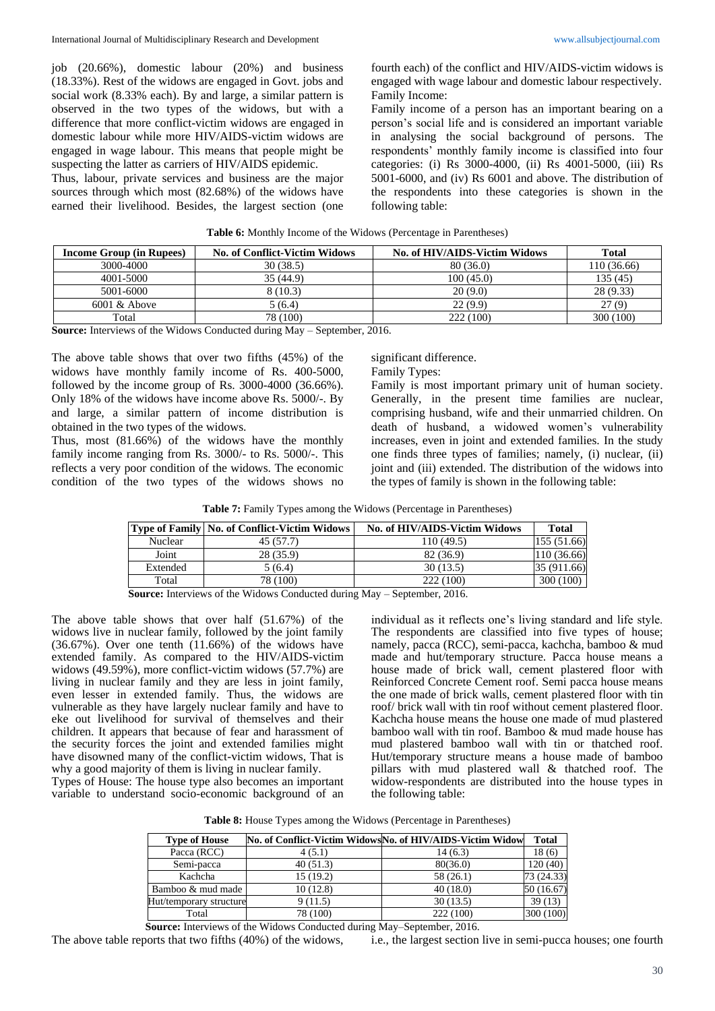job (20.66%), domestic labour (20%) and business (18.33%). Rest of the widows are engaged in Govt. jobs and social work (8.33% each). By and large, a similar pattern is observed in the two types of the widows, but with a difference that more conflict-victim widows are engaged in domestic labour while more HIV/AIDS-victim widows are engaged in wage labour. This means that people might be suspecting the latter as carriers of HIV/AIDS epidemic.

Thus, labour, private services and business are the major sources through which most (82.68%) of the widows have earned their livelihood. Besides, the largest section (one

fourth each) of the conflict and HIV/AIDS-victim widows is engaged with wage labour and domestic labour respectively. Family Income:

Family income of a person has an important bearing on a person's social life and is considered an important variable in analysing the social background of persons. The respondents' monthly family income is classified into four categories: (i) Rs 3000-4000, (ii) Rs 4001-5000, (iii) Rs 5001-6000, and (iv) Rs 6001 and above. The distribution of the respondents into these categories is shown in the following table:

| Income Group (in Rupees) | <b>No. of Conflict-Victim Widows</b> | No. of HIV/AIDS-Victim Widows | <b>Total</b> |
|--------------------------|--------------------------------------|-------------------------------|--------------|
| 3000-4000                | 30(38.5)                             | 80(36.0)                      | 110 (36.66)  |
| 4001-5000                | 35(44.9)                             | 100(45.0)                     | 135 (45)     |
| 5001-6000                | 8(10.3)                              | 20(9.0)                       | 28(9.33)     |
| $6001 \&$ Above          | 5 (6.4)                              | 22(9.9)                       | 27(9)        |
| Total                    | 78 (100)                             | 222 (100)                     | 300 (100)    |

**Table 6:** Monthly Income of the Widows (Percentage in Parentheses)

**Source:** Interviews of the Widows Conducted during May – September, 2016.

The above table shows that over two fifths (45%) of the widows have monthly family income of Rs. 400-5000, followed by the income group of Rs. 3000-4000 (36.66%). Only 18% of the widows have income above Rs. 5000/-. By and large, a similar pattern of income distribution is obtained in the two types of the widows.

Thus, most (81.66%) of the widows have the monthly family income ranging from Rs. 3000/- to Rs. 5000/-. This reflects a very poor condition of the widows. The economic condition of the two types of the widows shows no

significant difference.

Family Types:

Family is most important primary unit of human society. Generally, in the present time families are nuclear, comprising husband, wife and their unmarried children. On death of husband, a widowed women's vulnerability increases, even in joint and extended families. In the study one finds three types of families; namely, (i) nuclear, (ii) joint and (iii) extended. The distribution of the widows into the types of family is shown in the following table:

**Table 7:** Family Types among the Widows (Percentage in Parentheses)

| <b>Type of Family   No. of Conflict-Victim Widows</b> | <b>No. of HIV/AIDS-Victim Widows</b> | Total       |
|-------------------------------------------------------|--------------------------------------|-------------|
| 45 (57.7)                                             | 110 (49.5)                           | 155 (51.66) |
| 28 (35.9)                                             | 82 (36.9)                            | 110 (36.66) |
| 5(6.4)                                                | 30(13.5)                             | 35 (911.66) |
| 78 (100)                                              | 222 (100)                            | 300 (100)   |
|                                                       |                                      |             |

**Source:** Interviews of the Widows Conducted during May – September, 2016.

The above table shows that over half (51.67%) of the widows live in nuclear family, followed by the joint family (36.67%). Over one tenth (11.66%) of the widows have extended family. As compared to the HIV/AIDS-victim widows (49.59%), more conflict-victim widows (57.7%) are living in nuclear family and they are less in joint family, even lesser in extended family. Thus, the widows are vulnerable as they have largely nuclear family and have to eke out livelihood for survival of themselves and their children. It appears that because of fear and harassment of the security forces the joint and extended families might have disowned many of the conflict-victim widows, That is why a good majority of them is living in nuclear family.

Types of House: The house type also becomes an important variable to understand socio-economic background of an

individual as it reflects one's living standard and life style. The respondents are classified into five types of house; namely, pacca (RCC), semi-pacca, kachcha, bamboo & mud made and hut/temporary structure. Pacca house means a house made of brick wall, cement plastered floor with Reinforced Concrete Cement roof. Semi pacca house means the one made of brick walls, cement plastered floor with tin roof/ brick wall with tin roof without cement plastered floor. Kachcha house means the house one made of mud plastered bamboo wall with tin roof. Bamboo & mud made house has mud plastered bamboo wall with tin or thatched roof. Hut/temporary structure means a house made of bamboo pillars with mud plastered wall & thatched roof. The widow-respondents are distributed into the house types in the following table:

**Table 8:** House Types among the Widows (Percentage in Parentheses)

| <b>Type of House</b>    |          | No. of Conflict-Victim WidowsNo. of HIV/AIDS-Victim Widow | <b>Total</b> |
|-------------------------|----------|-----------------------------------------------------------|--------------|
| Pacca (RCC)             | 4(5.1)   | 14(6.3)                                                   | 18(6)        |
| Semi-pacca              | 40(51.3) | 80(36.0)                                                  | 120(40)      |
| Kachcha                 | 15(19.2) | 58 (26.1)                                                 | 73 (24.33)   |
| Bamboo & mud made       | 10(12.8) | 40(18.0)                                                  | 50 (16.67)   |
| Hut/temporary structure | 9(11.5)  | 30(13.5)                                                  | 39(13)       |
| Total                   | 78 (100) | 222 (100)                                                 | 300 (100)    |

**Source:** Interviews of the Widows Conducted during May–September, 2016.

The above table reports that two fifths (40%) of the widows, i.e., the largest section live in semi-pucca houses; one fourth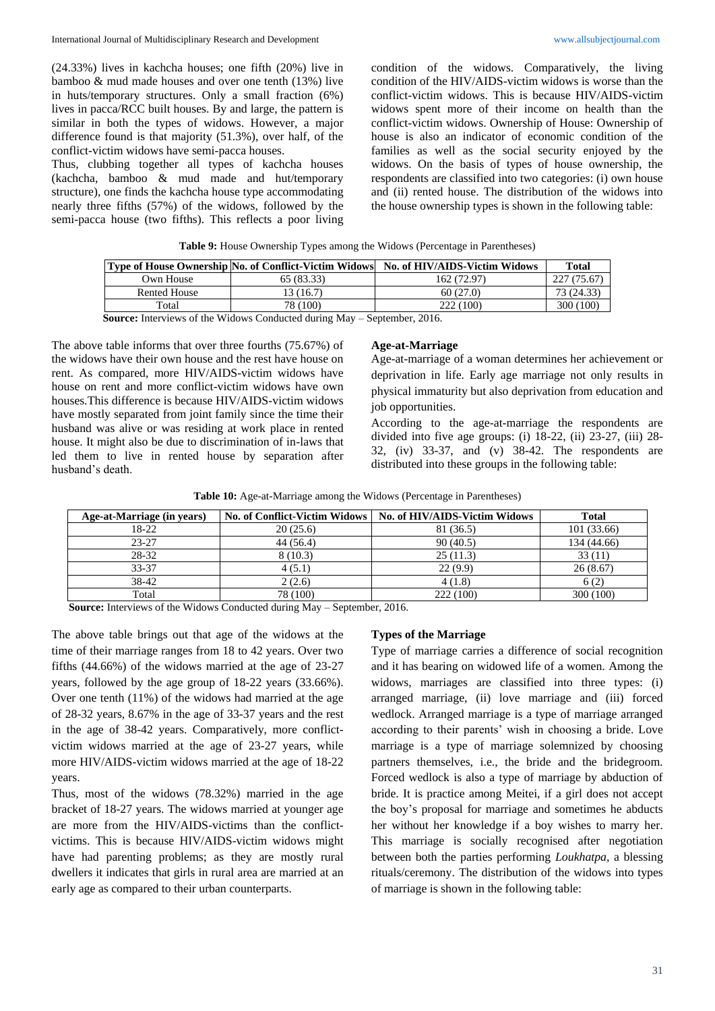(24.33%) lives in kachcha houses; one fifth (20%) live in bamboo & mud made houses and over one tenth (13%) live in huts/temporary structures. Only a small fraction (6%) lives in pacca/RCC built houses. By and large, the pattern is similar in both the types of widows. However, a major difference found is that majority (51.3%), over half, of the conflict-victim widows have semi-pacca houses.

Thus, clubbing together all types of kachcha houses (kachcha, bamboo & mud made and hut/temporary structure), one finds the kachcha house type accommodating nearly three fifths (57%) of the widows, followed by the semi-pacca house (two fifths). This reflects a poor living condition of the widows. Comparatively, the living condition of the HIV/AIDS-victim widows is worse than the conflict-victim widows. This is because HIV/AIDS-victim widows spent more of their income on health than the conflict-victim widows. Ownership of House: Ownership of house is also an indicator of economic condition of the families as well as the social security enjoyed by the widows. On the basis of types of house ownership, the respondents are classified into two categories: (i) own house and (ii) rented house. The distribution of the widows into the house ownership types is shown in the following table:

| <b>Table 9:</b> House Ownership Types among the Widows (Percentage in Parentheses) |  |
|------------------------------------------------------------------------------------|--|
|------------------------------------------------------------------------------------|--|

|                     |            | Type of House Ownership No. of Conflict-Victim Widows No. of HIV/AIDS-Victim Widows | Total       |
|---------------------|------------|-------------------------------------------------------------------------------------|-------------|
| Own House           | 65 (83.33) | 162 (72.97)                                                                         | 227 (75.67) |
| <b>Rented House</b> | 13 (16.7)  | 60(27.0)                                                                            | 73 (24.33)  |
| Total               | 78 (100)   | 222 (100)                                                                           | 300 (100)   |

**Source:** Interviews of the Widows Conducted during May – September, 2016.

The above table informs that over three fourths (75.67%) of the widows have their own house and the rest have house on rent. As compared, more HIV/AIDS-victim widows have house on rent and more conflict-victim widows have own houses.This difference is because HIV/AIDS-victim widows have mostly separated from joint family since the time their husband was alive or was residing at work place in rented house. It might also be due to discrimination of in-laws that led them to live in rented house by separation after husband's death.

#### **Age-at-Marriage**

Age-at-marriage of a woman determines her achievement or deprivation in life. Early age marriage not only results in physical immaturity but also deprivation from education and job opportunities.

According to the age-at-marriage the respondents are divided into five age groups: (i) 18-22, (ii) 23-27, (iii) 28- 32, (iv) 33-37, and (v) 38-42. The respondents are distributed into these groups in the following table:

|  |  | Table 10: Age-at-Marriage among the Widows (Percentage in Parentheses) |
|--|--|------------------------------------------------------------------------|
|  |  |                                                                        |

| Age-at-Marriage (in years) | <b>No. of Conflict-Victim Widows</b> | <b>No. of HIV/AIDS-Victim Widows</b> | <b>Total</b> |
|----------------------------|--------------------------------------|--------------------------------------|--------------|
| 18-22                      | 20(25.6)                             | 81 (36.5)                            | 101 (33.66)  |
| $23 - 27$                  | 44 (56.4)                            | 90(40.5)                             | 134 (44.66)  |
| 28-32                      | 8(10.3)                              | 25(11.3)                             | 33(11)       |
| 33-37                      | 4(5.1)                               | 22(9.9)                              | 26(8.67)     |
| 38-42                      | 2(2.6)                               | 4(1.8)                               | 6(2)         |
| Total                      | 78 (100)                             | 222 (100)                            | 300 (100)    |

**Source:** Interviews of the Widows Conducted during May – September, 2016.

The above table brings out that age of the widows at the time of their marriage ranges from 18 to 42 years. Over two fifths (44.66%) of the widows married at the age of 23-27 years, followed by the age group of 18-22 years (33.66%). Over one tenth (11%) of the widows had married at the age of 28-32 years, 8.67% in the age of 33-37 years and the rest in the age of 38-42 years. Comparatively, more conflictvictim widows married at the age of 23-27 years, while more HIV/AIDS-victim widows married at the age of 18-22 years.

Thus, most of the widows (78.32%) married in the age bracket of 18-27 years. The widows married at younger age are more from the HIV/AIDS-victims than the conflictvictims. This is because HIV/AIDS-victim widows might have had parenting problems; as they are mostly rural dwellers it indicates that girls in rural area are married at an early age as compared to their urban counterparts.

#### **Types of the Marriage**

Type of marriage carries a difference of social recognition and it has bearing on widowed life of a women. Among the widows, marriages are classified into three types: (i) arranged marriage, (ii) love marriage and (iii) forced wedlock. Arranged marriage is a type of marriage arranged according to their parents' wish in choosing a bride. Love marriage is a type of marriage solemnized by choosing partners themselves, i.e., the bride and the bridegroom. Forced wedlock is also a type of marriage by abduction of bride. It is practice among Meitei, if a girl does not accept the boy's proposal for marriage and sometimes he abducts her without her knowledge if a boy wishes to marry her. This marriage is socially recognised after negotiation between both the parties performing *Loukhatpa,* a blessing rituals/ceremony. The distribution of the widows into types of marriage is shown in the following table: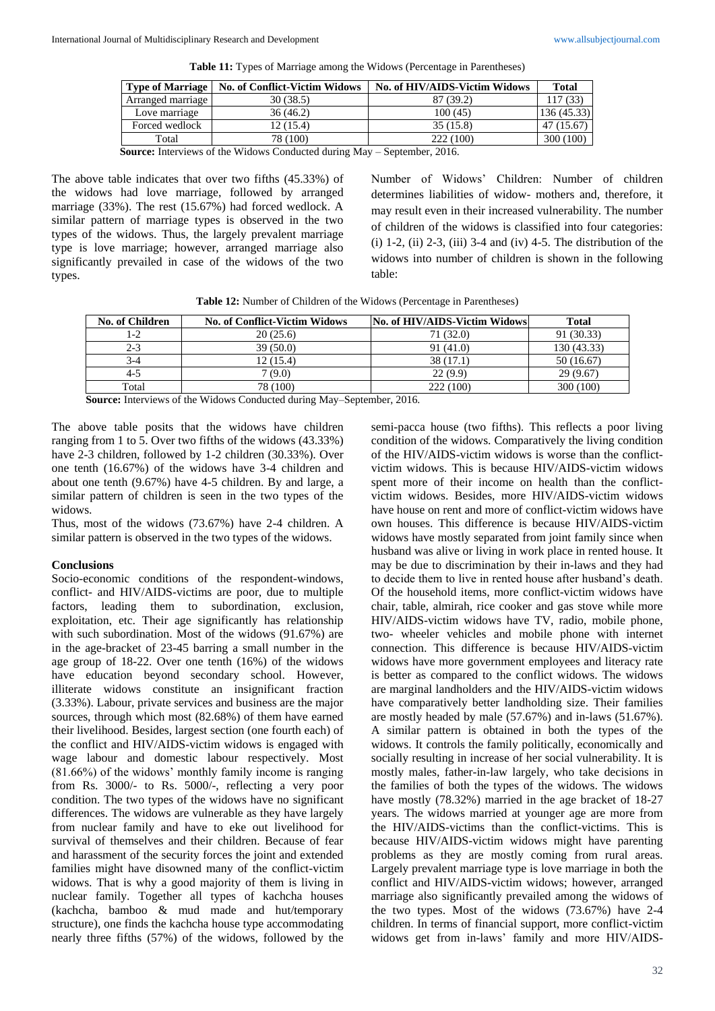|  |  |  | <b>Table 11:</b> Types of Marriage among the Widows (Percentage in Parentheses) |  |
|--|--|--|---------------------------------------------------------------------------------|--|
|--|--|--|---------------------------------------------------------------------------------|--|

|                   | <b>Type of Marriage   No. of Conflict-Victim Widows</b>           | <b>No. of HIV/AIDS-Victim Widows</b> | Total      |
|-------------------|-------------------------------------------------------------------|--------------------------------------|------------|
| Arranged marriage | 30(38.5)                                                          | 87 (39.2)                            | 117 (33)   |
| Love marriage     | 36 (46.2)                                                         | 100(45)                              | 136(45.33) |
| Forced wedlock    | 12(15.4)                                                          | 35(15.8)                             | 47 (15.67) |
| Total             | 78 (100)                                                          | 222 (100)                            | 300 (100)  |
| $\sim$ $\sim$     | $\alpha$ $\alpha$ $\alpha$ $\alpha$<br>_________<br>$\sim$ $\sim$ | - - - - - - -                        |            |

**Source:** Interviews of the Widows Conducted during May – September, 2016.

The above table indicates that over two fifths (45.33%) of the widows had love marriage, followed by arranged marriage (33%). The rest (15.67%) had forced wedlock. A similar pattern of marriage types is observed in the two types of the widows. Thus, the largely prevalent marriage type is love marriage; however, arranged marriage also significantly prevailed in case of the widows of the two types.

Number of Widows' Children: Number of children determines liabilities of widow- mothers and, therefore, it may result even in their increased vulnerability. The number of children of the widows is classified into four categories:  $(i)$  1-2,  $(ii)$  2-3,  $(iii)$  3-4 and  $(iv)$  4-5. The distribution of the widows into number of children is shown in the following table:

**Table 12:** Number of Children of the Widows (Percentage in Parentheses)

| <b>No. of Children</b> | <b>No. of Conflict-Victim Widows</b> | No. of HIV/AIDS-Victim Widows | <b>Total</b> |
|------------------------|--------------------------------------|-------------------------------|--------------|
| 1-2                    | 20(25.6)                             | 71 (32.0)                     | 91 (30.33)   |
| $2 - 3$                | 39(50.0)                             | 91(41.0)                      | 130(43.33)   |
| $3-4$                  | 12(15.4)                             | 38(17.1)                      | 50(16.67)    |
| $4 - 5$                | 7(9,0)                               | 22(9.9)                       | 29(9.67)     |
| Total                  | 78 (100)                             | 222 (100)                     | 300 (100)    |

**Source:** Interviews of the Widows Conducted during May–September, 2016.

The above table posits that the widows have children ranging from 1 to 5. Over two fifths of the widows (43.33%) have 2-3 children, followed by 1-2 children (30.33%). Over one tenth (16.67%) of the widows have 3-4 children and about one tenth (9.67%) have 4-5 children. By and large, a similar pattern of children is seen in the two types of the widows.

Thus, most of the widows (73.67%) have 2-4 children. A similar pattern is observed in the two types of the widows.

#### **Conclusions**

Socio-economic conditions of the respondent-windows, conflict- and HIV/AIDS-victims are poor, due to multiple factors, leading them to subordination, exclusion, exploitation, etc. Their age significantly has relationship with such subordination. Most of the widows (91.67%) are in the age-bracket of 23-45 barring a small number in the age group of 18-22. Over one tenth (16%) of the widows have education beyond secondary school. However, illiterate widows constitute an insignificant fraction (3.33%). Labour, private services and business are the major sources, through which most (82.68%) of them have earned their livelihood. Besides, largest section (one fourth each) of the conflict and HIV/AIDS-victim widows is engaged with wage labour and domestic labour respectively. Most (81.66%) of the widows' monthly family income is ranging from Rs. 3000/- to Rs. 5000/-, reflecting a very poor condition. The two types of the widows have no significant differences. The widows are vulnerable as they have largely from nuclear family and have to eke out livelihood for survival of themselves and their children. Because of fear and harassment of the security forces the joint and extended families might have disowned many of the conflict-victim widows. That is why a good majority of them is living in nuclear family. Together all types of kachcha houses (kachcha, bamboo & mud made and hut/temporary structure), one finds the kachcha house type accommodating nearly three fifths (57%) of the widows, followed by the

semi-pacca house (two fifths). This reflects a poor living condition of the widows. Comparatively the living condition of the HIV/AIDS-victim widows is worse than the conflictvictim widows. This is because HIV/AIDS-victim widows spent more of their income on health than the conflictvictim widows. Besides, more HIV/AIDS-victim widows have house on rent and more of conflict-victim widows have own houses. This difference is because HIV/AIDS-victim widows have mostly separated from joint family since when husband was alive or living in work place in rented house. It may be due to discrimination by their in-laws and they had to decide them to live in rented house after husband's death. Of the household items, more conflict-victim widows have chair, table, almirah, rice cooker and gas stove while more HIV/AIDS-victim widows have TV, radio, mobile phone, two- wheeler vehicles and mobile phone with internet connection. This difference is because HIV/AIDS-victim widows have more government employees and literacy rate is better as compared to the conflict widows. The widows are marginal landholders and the HIV/AIDS-victim widows have comparatively better landholding size. Their families are mostly headed by male (57.67%) and in-laws (51.67%). A similar pattern is obtained in both the types of the widows. It controls the family politically, economically and socially resulting in increase of her social vulnerability. It is mostly males, father-in-law largely, who take decisions in the families of both the types of the widows. The widows have mostly (78.32%) married in the age bracket of 18-27 years. The widows married at younger age are more from the HIV/AIDS-victims than the conflict-victims. This is because HIV/AIDS-victim widows might have parenting problems as they are mostly coming from rural areas. Largely prevalent marriage type is love marriage in both the conflict and HIV/AIDS-victim widows; however, arranged marriage also significantly prevailed among the widows of the two types. Most of the widows (73.67%) have 2-4 children. In terms of financial support, more conflict-victim widows get from in-laws' family and more HIV/AIDS-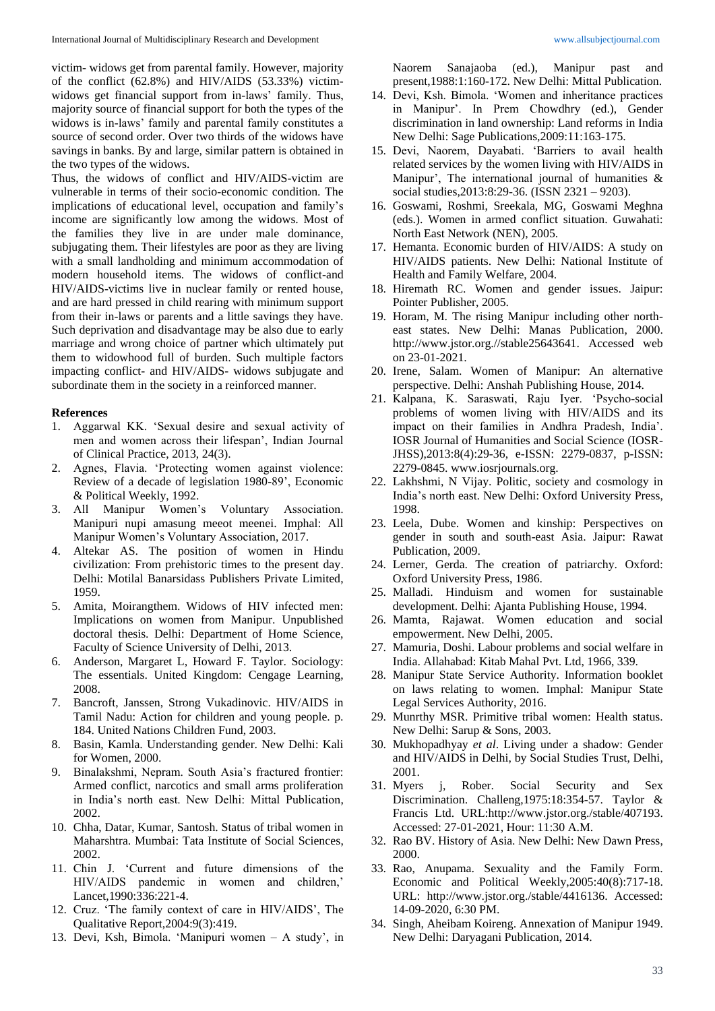victim- widows get from parental family. However, majority of the conflict (62.8%) and HIV/AIDS (53.33%) victimwidows get financial support from in-laws' family. Thus, majority source of financial support for both the types of the widows is in-laws' family and parental family constitutes a source of second order. Over two thirds of the widows have savings in banks. By and large, similar pattern is obtained in the two types of the widows.

Thus, the widows of conflict and HIV/AIDS-victim are vulnerable in terms of their socio-economic condition. The implications of educational level, occupation and family's income are significantly low among the widows. Most of the families they live in are under male dominance, subjugating them. Their lifestyles are poor as they are living with a small landholding and minimum accommodation of modern household items. The widows of conflict-and HIV/AIDS-victims live in nuclear family or rented house, and are hard pressed in child rearing with minimum support from their in-laws or parents and a little savings they have. Such deprivation and disadvantage may be also due to early marriage and wrong choice of partner which ultimately put them to widowhood full of burden. Such multiple factors impacting conflict- and HIV/AIDS- widows subjugate and subordinate them in the society in a reinforced manner.

#### **References**

- 1. Aggarwal KK. 'Sexual desire and sexual activity of men and women across their lifespan', Indian Journal of Clinical Practice, 2013, 24(3).
- 2. Agnes, Flavia. 'Protecting women against violence: Review of a decade of legislation 1980-89', Economic & Political Weekly, 1992.
- 3. All Manipur Women's Voluntary Association. Manipuri nupi amasung meeot meenei. Imphal: All Manipur Women's Voluntary Association, 2017.
- 4. Altekar AS. The position of women in Hindu civilization: From prehistoric times to the present day. Delhi: Motilal Banarsidass Publishers Private Limited, 1959.
- 5. Amita, Moirangthem. Widows of HIV infected men: Implications on women from Manipur. Unpublished doctoral thesis. Delhi: Department of Home Science, Faculty of Science University of Delhi, 2013.
- 6. Anderson, Margaret L, Howard F. Taylor. Sociology: The essentials. United Kingdom: Cengage Learning, 2008.
- 7. Bancroft, Janssen, Strong Vukadinovic. HIV/AIDS in Tamil Nadu: Action for children and young people. p. 184. United Nations Children Fund, 2003.
- 8. Basin, Kamla. Understanding gender. New Delhi: Kali for Women, 2000.
- 9. Binalakshmi, Nepram. South Asia's fractured frontier: Armed conflict, narcotics and small arms proliferation in India's north east. New Delhi: Mittal Publication, 2002.
- 10. Chha, Datar, Kumar, Santosh. Status of tribal women in Maharshtra. Mumbai: Tata Institute of Social Sciences, 2002.
- 11. Chin J. 'Current and future dimensions of the HIV/AIDS pandemic in women and children,' Lancet,1990:336:221-4.
- 12. Cruz. 'The family context of care in HIV/AIDS', The Qualitative Report,2004:9(3):419.
- 13. Devi, Ksh, Bimola. 'Manipuri women A study', in

Naorem Sanajaoba (ed.), Manipur past and present,1988:1:160-172. New Delhi: Mittal Publication.

- 14. Devi, Ksh. Bimola. 'Women and inheritance practices in Manipur'. In Prem Chowdhry (ed.), Gender discrimination in land ownership: Land reforms in India New Delhi: Sage Publications,2009:11:163-175.
- 15. Devi, Naorem, Dayabati. 'Barriers to avail health related services by the women living with HIV/AIDS in Manipur', The international journal of humanities & social studies,2013:8:29-36. (ISSN 2321 – 9203).
- 16. Goswami, Roshmi, Sreekala, MG, Goswami Meghna (eds.). Women in armed conflict situation. Guwahati: North East Network (NEN), 2005.
- 17. Hemanta. Economic burden of HIV/AIDS: A study on HIV/AIDS patients. New Delhi: National Institute of Health and Family Welfare, 2004.
- 18. Hiremath RC. Women and gender issues. Jaipur: Pointer Publisher, 2005.
- 19. Horam, M. The rising Manipur including other northeast states. New Delhi: Manas Publication, 2000. http://www.jstor.org.//stable25643641. Accessed web on 23-01-2021.
- 20. Irene, Salam. Women of Manipur: An alternative perspective. Delhi: Anshah Publishing House, 2014.
- 21. Kalpana, K. Saraswati, Raju Iyer. 'Psycho-social problems of women living with HIV/AIDS and its impact on their families in Andhra Pradesh, India'. IOSR Journal of Humanities and Social Science (IOSR-JHSS),2013:8(4):29-36, e-ISSN: 2279-0837, p-ISSN: 2279-0845. www.iosrjournals.org.
- 22. Lakhshmi, N Vijay. Politic, society and cosmology in India's north east. New Delhi: Oxford University Press, 1998.
- 23. Leela, Dube. Women and kinship: Perspectives on gender in south and south-east Asia. Jaipur: Rawat Publication, 2009.
- 24. Lerner, Gerda. The creation of patriarchy. Oxford: Oxford University Press, 1986.
- 25. Malladi. Hinduism and women for sustainable development. Delhi: Ajanta Publishing House, 1994.
- 26. Mamta, Rajawat. Women education and social empowerment. New Delhi, 2005.
- 27. Mamuria, Doshi. Labour problems and social welfare in India. Allahabad: Kitab Mahal Pvt. Ltd, 1966, 339.
- 28. Manipur State Service Authority. Information booklet on laws relating to women. Imphal: Manipur State Legal Services Authority, 2016.
- 29. Munrthy MSR. Primitive tribal women: Health status. New Delhi: Sarup & Sons, 2003.
- 30. Mukhopadhyay *et al*. Living under a shadow: Gender and HIV/AIDS in Delhi, by Social Studies Trust, Delhi, 2001.
- 31. Myers j, Rober. Social Security and Sex Discrimination. Challeng,1975:18:354-57. Taylor & Francis Ltd. URL:http://www.jstor.org./stable/407193. Accessed: 27-01-2021, Hour: 11:30 A.M.
- 32. Rao BV. History of Asia. New Delhi: New Dawn Press, 2000.
- 33. Rao, Anupama. Sexuality and the Family Form. Economic and Political Weekly,2005:40(8):717-18. URL: http://www.jstor.org./stable/4416136. Accessed: 14-09-2020, 6:30 PM.
- 34. Singh, Aheibam Koireng. Annexation of Manipur 1949. New Delhi: Daryagani Publication, 2014.